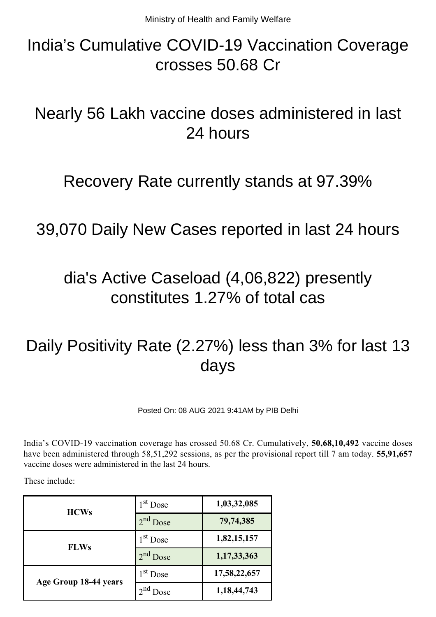# India's Cumulative COVID-19 Vaccination Coverage crosses 50.68 Cr

# Nearly 56 Lakh vaccine doses administered in last 24 hours

#### Recovery Rate currently stands at 97.39%

#### 39,070 Daily New Cases reported in last 24 hours

## dia's Active Caseload (4,06,822) presently constitutes 1.27% of total cas

# Daily Positivity Rate (2.27%) less than 3% for last 13 days

Posted On: 08 AUG 2021 9:41AM by PIB Delhi

India's COVID-19 vaccination coverage has crossed 50.68 Cr. Cumulatively, **50,68,10,492** vaccine doses have been administered through 58,51,292 sessions, as per the provisional report till 7 am today. **55,91,657** vaccine doses were administered in the last 24 hours.

These include:

| <b>HCWs</b>           | $1st$ Dose                  | 1,03,32,085  |
|-----------------------|-----------------------------|--------------|
|                       | $2nd$ Dose                  | 79,74,385    |
| <b>FLWs</b>           | $1st$ Dose                  | 1,82,15,157  |
|                       | $2nd$ Dose                  | 1,17,33,363  |
| Age Group 18-44 years | $1st$ Dose                  | 17,58,22,657 |
|                       | $\gamma$ nd<br><b>J</b> ose | 1,18,44,743  |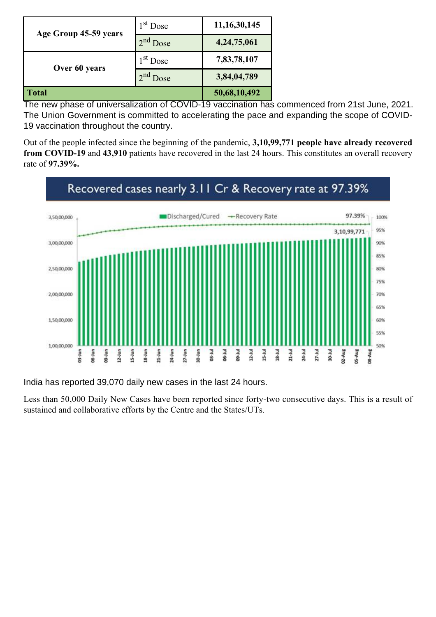| Age Group 45-59 years | $1st$ Dose       | 11, 16, 30, 145 |
|-----------------------|------------------|-----------------|
|                       | $2nd$ Dose       | 4, 24, 75, 061  |
| Over 60 years         | $1st$ Dose       | 7,83,78,107     |
|                       | $2^{nd}$<br>Dose | 3,84,04,789     |
| <b>Total</b>          |                  | 50,68,10,492    |

The new phase of universalization of COVID-19 vaccination has commenced from 21st June, 2021. The Union Government is committed to accelerating the pace and expanding the scope of COVID-19 vaccination throughout the country.

Out of the people infected since the beginning of the pandemic, **3,10,99,771 people have already recovered from COVID-19** and **43,910** patients have recovered in the last 24 hours. This constitutes an overall recovery rate of **97.39%.**



India has reported 39,070 daily new cases in the last 24 hours.

Less than 50,000 Daily New Cases have been reported since forty-two consecutive days. This is a result of sustained and collaborative efforts by the Centre and the States/UTs.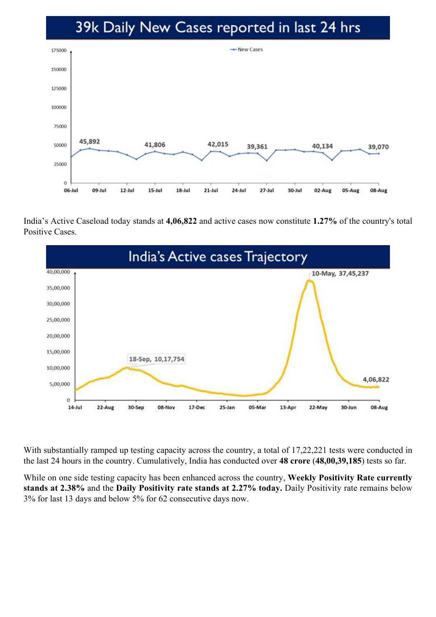#### 39k Daily New Cases reported in last 24 hrs



India's Active Caseload today stands at **4,06,822** and active cases now constitute **1.27%** of the country's total Positive Cases.



With substantially ramped up testing capacity across the country, a total of 17,22,221 tests were conducted in the last 24 hours in the country. Cumulatively, India has conducted over **48 crore** (**48,00,39,185**) tests so far.

While on one side testing capacity has been enhanced across the country, **Weekly Positivity Rate currently stands at 2.38%** and the **Daily Positivity rate stands at 2.27% today.** Daily Positivity rate remains below 3% for last 13 days and below 5% for 62 consecutive days now.